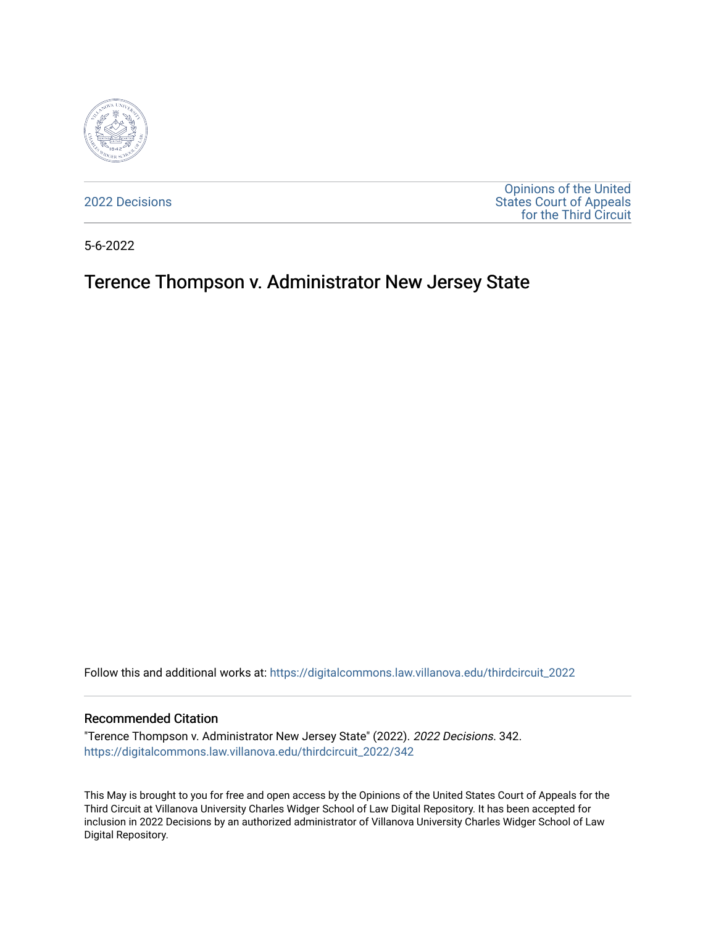

[2022 Decisions](https://digitalcommons.law.villanova.edu/thirdcircuit_2022)

[Opinions of the United](https://digitalcommons.law.villanova.edu/thirdcircuit)  [States Court of Appeals](https://digitalcommons.law.villanova.edu/thirdcircuit)  [for the Third Circuit](https://digitalcommons.law.villanova.edu/thirdcircuit) 

5-6-2022

# Terence Thompson v. Administrator New Jersey State

Follow this and additional works at: [https://digitalcommons.law.villanova.edu/thirdcircuit\\_2022](https://digitalcommons.law.villanova.edu/thirdcircuit_2022?utm_source=digitalcommons.law.villanova.edu%2Fthirdcircuit_2022%2F342&utm_medium=PDF&utm_campaign=PDFCoverPages) 

#### Recommended Citation

"Terence Thompson v. Administrator New Jersey State" (2022). 2022 Decisions. 342. [https://digitalcommons.law.villanova.edu/thirdcircuit\\_2022/342](https://digitalcommons.law.villanova.edu/thirdcircuit_2022/342?utm_source=digitalcommons.law.villanova.edu%2Fthirdcircuit_2022%2F342&utm_medium=PDF&utm_campaign=PDFCoverPages)

This May is brought to you for free and open access by the Opinions of the United States Court of Appeals for the Third Circuit at Villanova University Charles Widger School of Law Digital Repository. It has been accepted for inclusion in 2022 Decisions by an authorized administrator of Villanova University Charles Widger School of Law Digital Repository.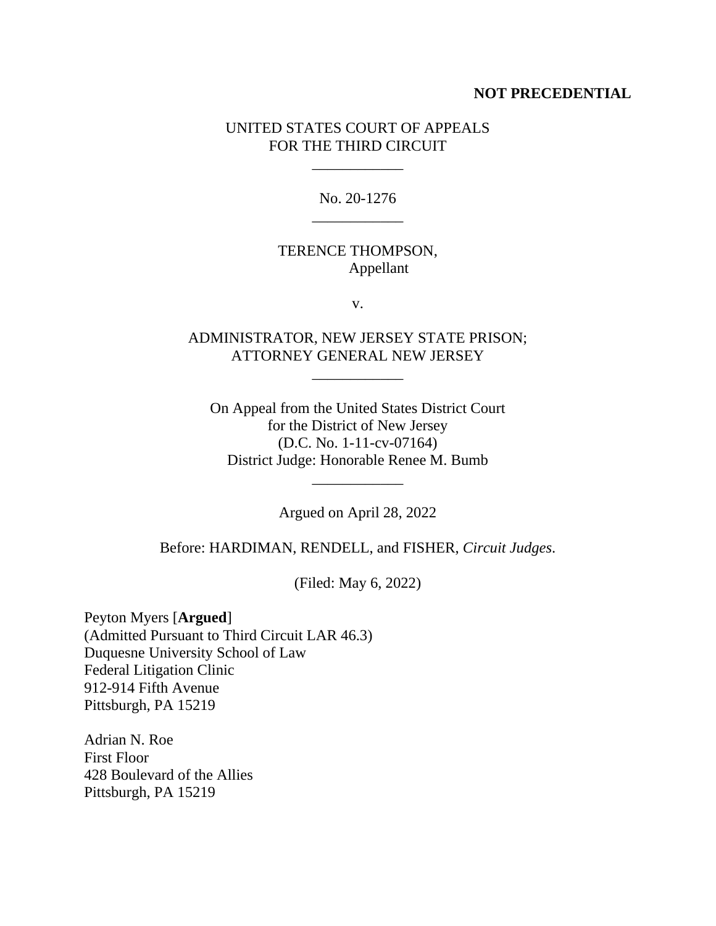#### **NOT PRECEDENTIAL**

### UNITED STATES COURT OF APPEALS FOR THE THIRD CIRCUIT

\_\_\_\_\_\_\_\_\_\_\_\_

No. 20-1276 \_\_\_\_\_\_\_\_\_\_\_\_

### TERENCE THOMPSON, Appellant

v.

# ADMINISTRATOR, NEW JERSEY STATE PRISON; ATTORNEY GENERAL NEW JERSEY

\_\_\_\_\_\_\_\_\_\_\_\_

On Appeal from the United States District Court for the District of New Jersey (D.C. No. 1-11-cv-07164) District Judge: Honorable Renee M. Bumb

Argued on April 28, 2022

\_\_\_\_\_\_\_\_\_\_\_\_

Before: HARDIMAN, RENDELL, and FISHER, *Circuit Judges*.

(Filed: May 6, 2022)

Peyton Myers [**Argued**] (Admitted Pursuant to Third Circuit LAR 46.3) Duquesne University School of Law Federal Litigation Clinic 912-914 Fifth Avenue Pittsburgh, PA 15219

Adrian N. Roe First Floor 428 Boulevard of the Allies Pittsburgh, PA 15219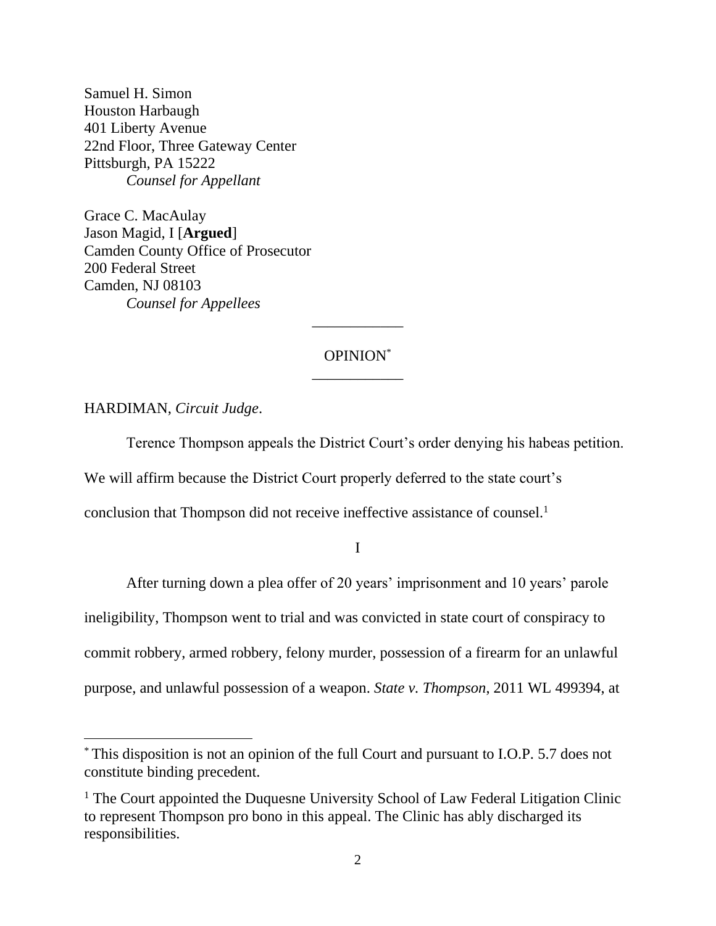Samuel H. Simon Houston Harbaugh 401 Liberty Avenue 22nd Floor, Three Gateway Center Pittsburgh, PA 15222 *Counsel for Appellant*

Grace C. MacAulay Jason Magid, I [**Argued**] Camden County Office of Prosecutor 200 Federal Street Camden, NJ 08103 *Counsel for Appellees*

## OPINION\* \_\_\_\_\_\_\_\_\_\_\_\_

\_\_\_\_\_\_\_\_\_\_\_\_

HARDIMAN, *Circuit Judge*.

Terence Thompson appeals the District Court's order denying his habeas petition. We will affirm because the District Court properly deferred to the state court's

conclusion that Thompson did not receive ineffective assistance of counsel. 1

I

After turning down a plea offer of 20 years' imprisonment and 10 years' parole ineligibility, Thompson went to trial and was convicted in state court of conspiracy to commit robbery, armed robbery, felony murder, possession of a firearm for an unlawful purpose, and unlawful possession of a weapon. *State v. Thompson*, 2011 WL 499394, at

<sup>\*</sup> This disposition is not an opinion of the full Court and pursuant to I.O.P. 5.7 does not constitute binding precedent.

<sup>&</sup>lt;sup>1</sup> The Court appointed the Duquesne University School of Law Federal Litigation Clinic to represent Thompson pro bono in this appeal. The Clinic has ably discharged its responsibilities.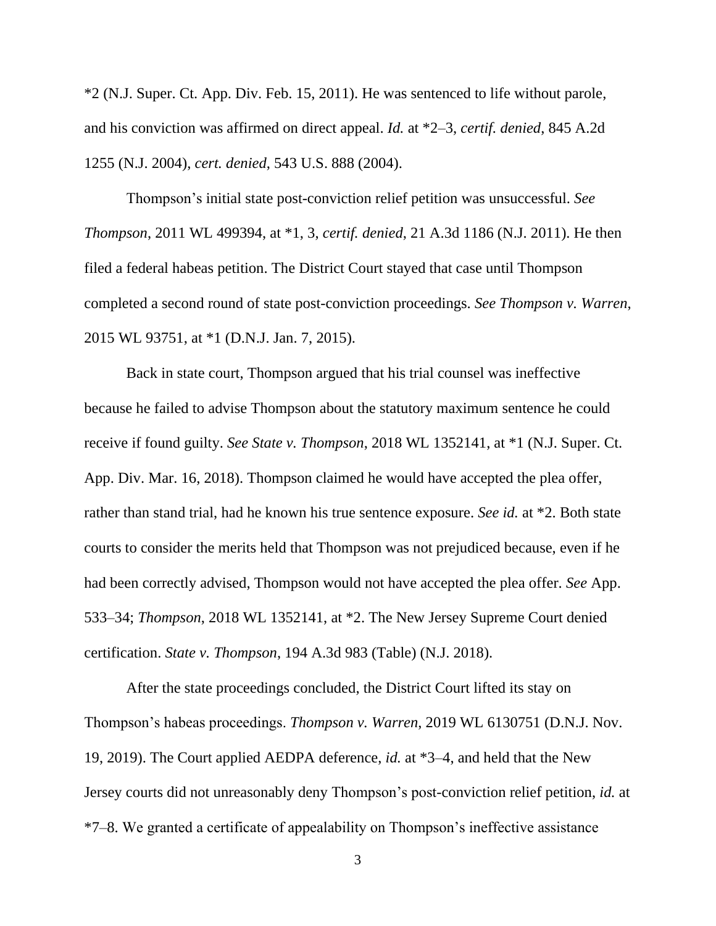\*2 (N.J. Super. Ct. App. Div. Feb. 15, 2011). He was sentenced to life without parole, and his conviction was affirmed on direct appeal. *Id.* at \*2–3, *certif. denied*, 845 A.2d 1255 (N.J. 2004), *cert. denied*, 543 U.S. 888 (2004).

Thompson's initial state post-conviction relief petition was unsuccessful. *See Thompson*, 2011 WL 499394, at \*1, 3, *certif. denied*, 21 A.3d 1186 (N.J. 2011). He then filed a federal habeas petition. The District Court stayed that case until Thompson completed a second round of state post-conviction proceedings. *See Thompson v. Warren*, 2015 WL 93751, at \*1 (D.N.J. Jan. 7, 2015).

Back in state court, Thompson argued that his trial counsel was ineffective because he failed to advise Thompson about the statutory maximum sentence he could receive if found guilty. *See State v. Thompson*, 2018 WL 1352141, at \*1 (N.J. Super. Ct. App. Div. Mar. 16, 2018). Thompson claimed he would have accepted the plea offer, rather than stand trial, had he known his true sentence exposure. *See id.* at \*2. Both state courts to consider the merits held that Thompson was not prejudiced because, even if he had been correctly advised, Thompson would not have accepted the plea offer. *See* App. 533–34; *Thompson*, 2018 WL 1352141, at \*2. The New Jersey Supreme Court denied certification. *State v. Thompson*, 194 A.3d 983 (Table) (N.J. 2018).

After the state proceedings concluded, the District Court lifted its stay on Thompson's habeas proceedings. *Thompson v. Warren*, 2019 WL 6130751 (D.N.J. Nov. 19, 2019). The Court applied AEDPA deference, *id.* at \*3–4, and held that the New Jersey courts did not unreasonably deny Thompson's post-conviction relief petition, *id.* at \*7–8. We granted a certificate of appealability on Thompson's ineffective assistance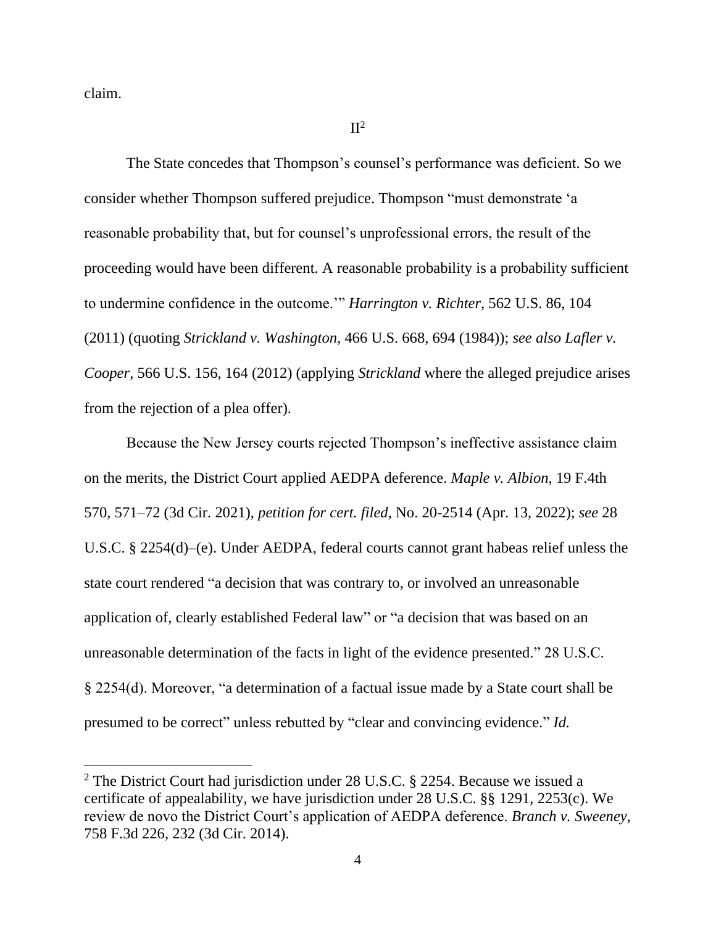claim.

 $II^2$ 

The State concedes that Thompson's counsel's performance was deficient. So we consider whether Thompson suffered prejudice. Thompson "must demonstrate 'a reasonable probability that, but for counsel's unprofessional errors, the result of the proceeding would have been different. A reasonable probability is a probability sufficient to undermine confidence in the outcome.'" *Harrington v. Richter*, 562 U.S. 86, 104 (2011) (quoting *Strickland v. Washington*, 466 U.S. 668, 694 (1984)); *see also Lafler v. Cooper*, 566 U.S. 156, 164 (2012) (applying *Strickland* where the alleged prejudice arises from the rejection of a plea offer).

Because the New Jersey courts rejected Thompson's ineffective assistance claim on the merits, the District Court applied AEDPA deference. *Maple v. Albion*, 19 F.4th 570, 571–72 (3d Cir. 2021), *petition for cert. filed*, No. 20-2514 (Apr. 13, 2022); *see* 28 U.S.C. § 2254(d)–(e). Under AEDPA, federal courts cannot grant habeas relief unless the state court rendered "a decision that was contrary to, or involved an unreasonable application of, clearly established Federal law" or "a decision that was based on an unreasonable determination of the facts in light of the evidence presented." 28 U.S.C. § 2254(d). Moreover, "a determination of a factual issue made by a State court shall be presumed to be correct" unless rebutted by "clear and convincing evidence." *Id.* 

<sup>2</sup> The District Court had jurisdiction under 28 U.S.C. § 2254. Because we issued a certificate of appealability, we have jurisdiction under 28 U.S.C. §§ 1291, 2253(c). We review de novo the District Court's application of AEDPA deference. *Branch v. Sweeney*, 758 F.3d 226, 232 (3d Cir. 2014).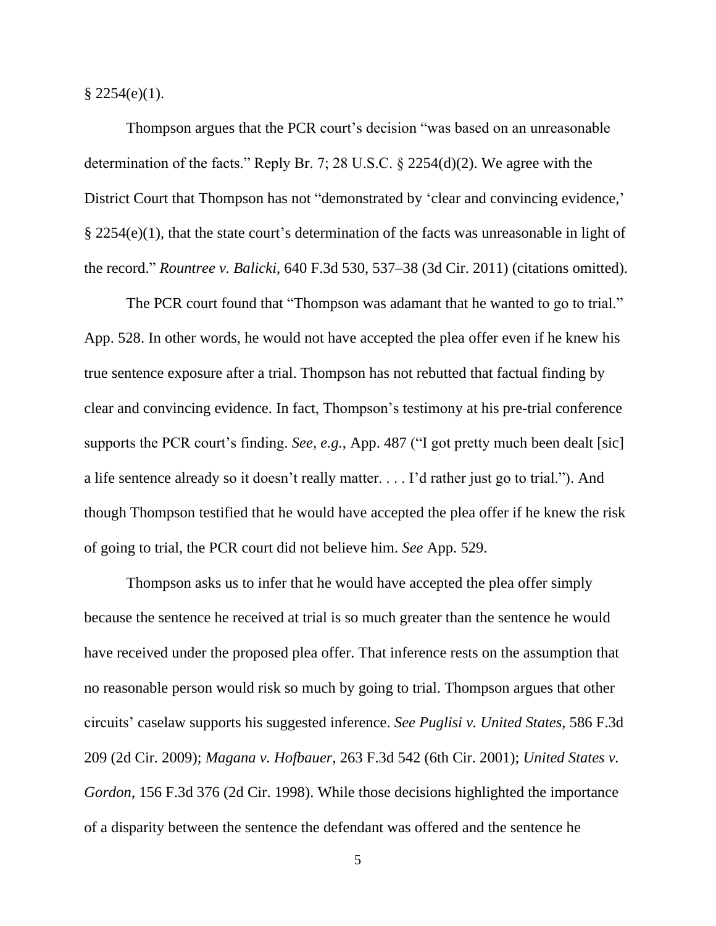$$2254(e)(1).$ 

Thompson argues that the PCR court's decision "was based on an unreasonable determination of the facts." Reply Br. 7; 28 U.S.C. § 2254(d)(2). We agree with the District Court that Thompson has not "demonstrated by 'clear and convincing evidence,' § 2254(e)(1), that the state court's determination of the facts was unreasonable in light of the record." *Rountree v. Balicki*, 640 F.3d 530, 537–38 (3d Cir. 2011) (citations omitted).

The PCR court found that "Thompson was adamant that he wanted to go to trial." App. 528. In other words, he would not have accepted the plea offer even if he knew his true sentence exposure after a trial. Thompson has not rebutted that factual finding by clear and convincing evidence. In fact, Thompson's testimony at his pre-trial conference supports the PCR court's finding. *See, e.g.*, App. 487 ("I got pretty much been dealt [sic] a life sentence already so it doesn't really matter. . . . I'd rather just go to trial."). And though Thompson testified that he would have accepted the plea offer if he knew the risk of going to trial, the PCR court did not believe him. *See* App. 529.

Thompson asks us to infer that he would have accepted the plea offer simply because the sentence he received at trial is so much greater than the sentence he would have received under the proposed plea offer. That inference rests on the assumption that no reasonable person would risk so much by going to trial. Thompson argues that other circuits' caselaw supports his suggested inference. *See Puglisi v. United States*, 586 F.3d 209 (2d Cir. 2009); *Magana v. Hofbauer*, 263 F.3d 542 (6th Cir. 2001); *United States v. Gordon*, 156 F.3d 376 (2d Cir. 1998). While those decisions highlighted the importance of a disparity between the sentence the defendant was offered and the sentence he

5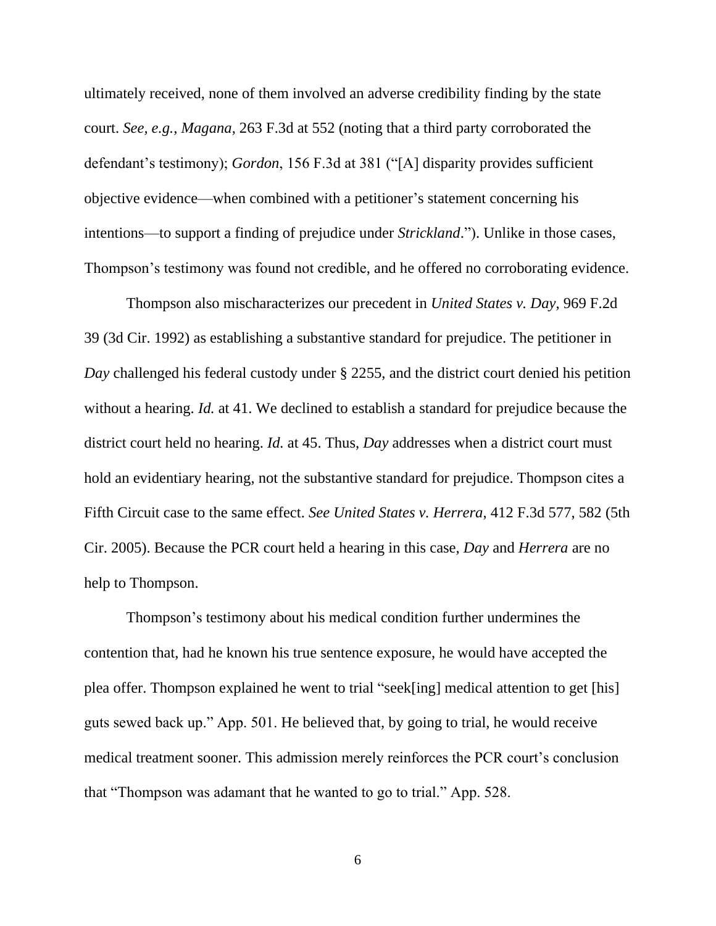ultimately received, none of them involved an adverse credibility finding by the state court. *See, e.g.*, *Magana*, 263 F.3d at 552 (noting that a third party corroborated the defendant's testimony); *Gordon*, 156 F.3d at 381 ("[A] disparity provides sufficient objective evidence—when combined with a petitioner's statement concerning his intentions—to support a finding of prejudice under *Strickland*."). Unlike in those cases, Thompson's testimony was found not credible, and he offered no corroborating evidence.

Thompson also mischaracterizes our precedent in *United States v. Day*, 969 F.2d 39 (3d Cir. 1992) as establishing a substantive standard for prejudice. The petitioner in *Day* challenged his federal custody under § 2255, and the district court denied his petition without a hearing. *Id.* at 41. We declined to establish a standard for prejudice because the district court held no hearing. *Id.* at 45. Thus, *Day* addresses when a district court must hold an evidentiary hearing, not the substantive standard for prejudice. Thompson cites a Fifth Circuit case to the same effect. *See United States v. Herrera*, 412 F.3d 577, 582 (5th Cir. 2005). Because the PCR court held a hearing in this case, *Day* and *Herrera* are no help to Thompson.

Thompson's testimony about his medical condition further undermines the contention that, had he known his true sentence exposure, he would have accepted the plea offer. Thompson explained he went to trial "seek[ing] medical attention to get [his] guts sewed back up." App. 501. He believed that, by going to trial, he would receive medical treatment sooner. This admission merely reinforces the PCR court's conclusion that "Thompson was adamant that he wanted to go to trial." App. 528.

6